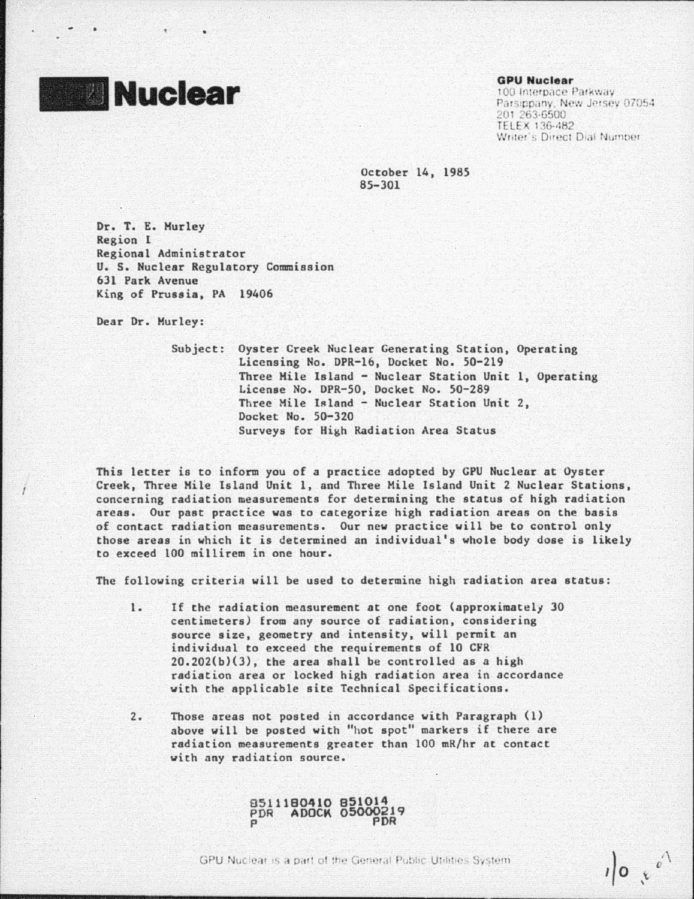## **Nuclear**

## GPU Nuclear

--- - --------·--------------------------

100 Interpace Parkway. Parsippany, New Jersey 07054 201.263-6500 TELEX 136-482 Writer's Direct Dial Number:

 $\sqrt{2}$ 

October 14, 1985 85-301

Dr. T. E. Hurley Region 1 Regional Administrator U. S. Nuclear Regulatory Commission 631 Park Avenue King of Prussia, PA 19406

Dear Dr. Hurley:

Subject: Oyster Creek Nuclear Generating Station, Operating Licensing No. DPR-16, Docket No. 50-219 Three Hile Island - Nuclear Station Unit 1, Operating License No. DPR-50, Docket No. 50-289 Three Mile Island - Nuclear Station Unit 2, Docket No. 50-320 Surveys for High Radiation Area Status

This letter is to inform you of a practice adopted by GPU Nuclear at Oyster Creek, Three Hile Island Unit 1, and Three Mile Island Unit 2 Nuclear Stations, concerning radiation measurements for determining the status of high radiation areas. Our past practice vas to categorize high radiation areas on the basis of contact radiation measurements. Our new practice will be to control only those areas in which it is determined an individual's whole body dose is likely to exceed 100 millirem in one hour.

The following criterin will be used to determine high radiation area status:

- 1. If the radiation measurement at one foot (approximately 30 centimeters) from any source of radiation, considering source size, geometry and intensity, will permit an individual to exceed the requirements of 10 CrR 20.202(b)(3), the area shall be controlled as a high radiation area or locked high radiation area in accordance with the applicable site Technical Specifications.
- 2. Those areas not posted in accordance with Paragraph (1) above will be posted with "hot spot" markers if there are radiation measurements greater than 100 mR/hr at contact with any radiation source.

8511180410 851014 PDR AOOCK 05000219 p PDR

GPU Nuclear is a part of the General Public Utilities System